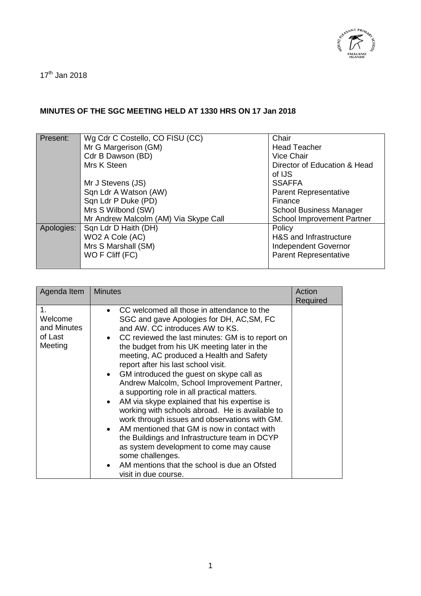

 $17<sup>th</sup>$  Jan 2018

## **MINUTES OF THE SGC MEETING HELD AT 1330 HRS ON 17 Jan 2018**

| Present:   | Wg Cdr C Costello, CO FISU (CC)       | Chair                             |
|------------|---------------------------------------|-----------------------------------|
|            | Mr G Margerison (GM)                  | <b>Head Teacher</b>               |
|            | Cdr B Dawson (BD)                     | Vice Chair                        |
|            | Mrs K Steen                           | Director of Education & Head      |
|            |                                       | of IJS                            |
|            | Mr J Stevens (JS)                     | <b>SSAFFA</b>                     |
|            | Sqn Ldr A Watson (AW)                 | <b>Parent Representative</b>      |
|            | Sqn Ldr P Duke (PD)                   | Finance                           |
|            | Mrs S Wilbond (SW)                    | <b>School Business Manager</b>    |
|            | Mr Andrew Malcolm (AM) Via Skype Call | <b>School Improvement Partner</b> |
| Apologies: | Sqn Ldr D Haith (DH)                  | Policy                            |
|            | WO2 A Cole (AC)                       | H&S and Infrastructure            |
|            | Mrs S Marshall (SM)                   | Independent Governor              |
|            | WO F Cliff (FC)                       | <b>Parent Representative</b>      |
|            |                                       |                                   |

| Agenda Item                                        | <b>Minutes</b>                                                                                                                                                                                                                                                                                                                                                                                                                                                                                                                                                                                                                                                                                                                                                                                                                                                                                   | Action<br>Required |
|----------------------------------------------------|--------------------------------------------------------------------------------------------------------------------------------------------------------------------------------------------------------------------------------------------------------------------------------------------------------------------------------------------------------------------------------------------------------------------------------------------------------------------------------------------------------------------------------------------------------------------------------------------------------------------------------------------------------------------------------------------------------------------------------------------------------------------------------------------------------------------------------------------------------------------------------------------------|--------------------|
| 1.<br>Welcome<br>and Minutes<br>of Last<br>Meeting | CC welcomed all those in attendance to the<br>$\bullet$<br>SGC and gave Apologies for DH, AC, SM, FC<br>and AW. CC introduces AW to KS.<br>• CC reviewed the last minutes: GM is to report on<br>the budget from his UK meeting later in the<br>meeting, AC produced a Health and Safety<br>report after his last school visit.<br>• GM introduced the guest on skype call as<br>Andrew Malcolm, School Improvement Partner,<br>a supporting role in all practical matters.<br>AM via skype explained that his expertise is<br>$\bullet$<br>working with schools abroad. He is available to<br>work through issues and observations with GM.<br>AM mentioned that GM is now in contact with<br>$\bullet$<br>the Buildings and Infrastructure team in DCYP<br>as system development to come may cause<br>some challenges.<br>AM mentions that the school is due an Ofsted<br>visit in due course. |                    |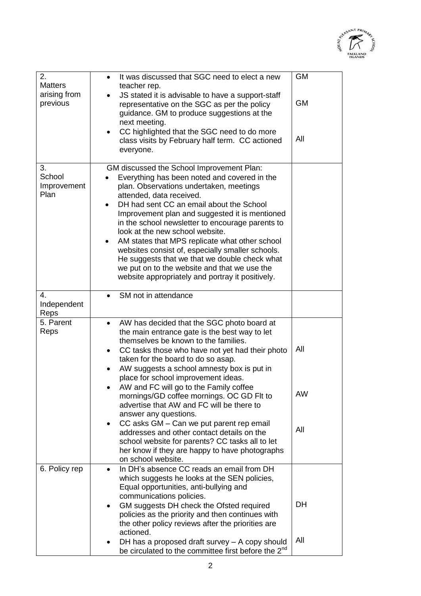

| 2.                                         | It was discussed that SGC need to elect a new<br>$\bullet$                                                                                                                                                                                                                                                  | <b>GM</b>        |
|--------------------------------------------|-------------------------------------------------------------------------------------------------------------------------------------------------------------------------------------------------------------------------------------------------------------------------------------------------------------|------------------|
| <b>Matters</b><br>arising from<br>previous | teacher rep.<br>JS stated it is advisable to have a support-staff<br>representative on the SGC as per the policy<br>guidance. GM to produce suggestions at the<br>next meeting.<br>CC highlighted that the SGC need to do more<br>$\bullet$<br>class visits by February half term. CC actioned<br>everyone. | <b>GM</b><br>All |
| 3.                                         | GM discussed the School Improvement Plan:                                                                                                                                                                                                                                                                   |                  |
| School<br>Improvement                      | Everything has been noted and covered in the<br>plan. Observations undertaken, meetings                                                                                                                                                                                                                     |                  |
| Plan                                       | attended, data received.<br>DH had sent CC an email about the School<br>$\bullet$                                                                                                                                                                                                                           |                  |
|                                            | Improvement plan and suggested it is mentioned                                                                                                                                                                                                                                                              |                  |
|                                            | in the school newsletter to encourage parents to<br>look at the new school website.                                                                                                                                                                                                                         |                  |
|                                            | AM states that MPS replicate what other school<br>websites consist of, especially smaller schools.                                                                                                                                                                                                          |                  |
|                                            | He suggests that we that we double check what                                                                                                                                                                                                                                                               |                  |
|                                            | we put on to the website and that we use the<br>website appropriately and portray it positively.                                                                                                                                                                                                            |                  |
| 4.                                         | SM not in attendance                                                                                                                                                                                                                                                                                        |                  |
| Independent<br>Reps                        |                                                                                                                                                                                                                                                                                                             |                  |
| 5. Parent                                  | AW has decided that the SGC photo board at<br>$\bullet$                                                                                                                                                                                                                                                     |                  |
| Reps                                       | the main entrance gate is the best way to let<br>themselves be known to the families.                                                                                                                                                                                                                       |                  |
|                                            | CC tasks those who have not yet had their photo<br>$\bullet$<br>taken for the board to do so asap.                                                                                                                                                                                                          | All              |
|                                            | AW suggests a school amnesty box is put in                                                                                                                                                                                                                                                                  |                  |
|                                            | place for school improvement ideas.<br>AW and FC will go to the Family coffee                                                                                                                                                                                                                               |                  |
|                                            | mornings/GD coffee mornings. OC GD Flt to<br>advertise that AW and FC will be there to                                                                                                                                                                                                                      | <b>AW</b>        |
|                                            | answer any questions.                                                                                                                                                                                                                                                                                       |                  |
|                                            | CC asks GM - Can we put parent rep email<br>٠<br>addresses and other contact details on the                                                                                                                                                                                                                 | All              |
|                                            | school website for parents? CC tasks all to let                                                                                                                                                                                                                                                             |                  |
|                                            | her know if they are happy to have photographs<br>on school website.                                                                                                                                                                                                                                        |                  |
| 6. Policy rep                              | In DH's absence CC reads an email from DH<br>$\bullet$                                                                                                                                                                                                                                                      |                  |
|                                            | which suggests he looks at the SEN policies,<br>Equal opportunities, anti-bullying and                                                                                                                                                                                                                      |                  |
|                                            | communications policies.<br>GM suggests DH check the Ofsted required<br>$\bullet$                                                                                                                                                                                                                           | <b>DH</b>        |
|                                            | policies as the priority and then continues with                                                                                                                                                                                                                                                            |                  |
|                                            | the other policy reviews after the priorities are<br>actioned.                                                                                                                                                                                                                                              |                  |
|                                            | DH has a proposed draft survey - A copy should<br>be circulated to the committee first before the 2 <sup>nd</sup>                                                                                                                                                                                           | All              |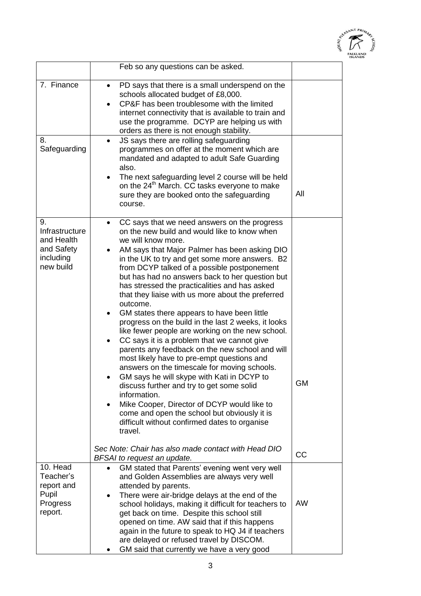

|                                                                            | Feb so any questions can be asked.                                                                                                                                                                                                                                                                                                                                                                                                                                                                                                                                                                                                                                                                                                                                                                                                                                                                                                                                                                                                                                                                                            |           |
|----------------------------------------------------------------------------|-------------------------------------------------------------------------------------------------------------------------------------------------------------------------------------------------------------------------------------------------------------------------------------------------------------------------------------------------------------------------------------------------------------------------------------------------------------------------------------------------------------------------------------------------------------------------------------------------------------------------------------------------------------------------------------------------------------------------------------------------------------------------------------------------------------------------------------------------------------------------------------------------------------------------------------------------------------------------------------------------------------------------------------------------------------------------------------------------------------------------------|-----------|
| 7. Finance<br>8.<br>Safeguarding                                           | PD says that there is a small underspend on the<br>٠<br>schools allocated budget of £8,000.<br>CP&F has been troublesome with the limited<br>internet connectivity that is available to train and<br>use the programme. DCYP are helping us with<br>orders as there is not enough stability.<br>JS says there are rolling safeguarding<br>programmes on offer at the moment which are<br>mandated and adapted to adult Safe Guarding<br>also.<br>The next safeguarding level 2 course will be held<br>$\bullet$<br>on the 24 <sup>th</sup> March. CC tasks everyone to make                                                                                                                                                                                                                                                                                                                                                                                                                                                                                                                                                   |           |
|                                                                            | sure they are booked onto the safeguarding<br>course.                                                                                                                                                                                                                                                                                                                                                                                                                                                                                                                                                                                                                                                                                                                                                                                                                                                                                                                                                                                                                                                                         | All       |
| 9.<br>Infrastructure<br>and Health<br>and Safety<br>including<br>new build | CC says that we need answers on the progress<br>$\bullet$<br>on the new build and would like to know when<br>we will know more.<br>AM says that Major Palmer has been asking DIO<br>in the UK to try and get some more answers. B2<br>from DCYP talked of a possible postponement<br>but has had no answers back to her question but<br>has stressed the practicalities and has asked<br>that they liaise with us more about the preferred<br>outcome.<br>GM states there appears to have been little<br>$\bullet$<br>progress on the build in the last 2 weeks, it looks<br>like fewer people are working on the new school.<br>CC says it is a problem that we cannot give<br>$\bullet$<br>parents any feedback on the new school and will<br>most likely have to pre-empt questions and<br>answers on the timescale for moving schools.<br>GM says he will skype with Kati in DCYP to<br>discuss further and try to get some solid<br>information.<br>Mike Cooper, Director of DCYP would like to<br>$\bullet$<br>come and open the school but obviously it is<br>difficult without confirmed dates to organise<br>travel. | <b>GM</b> |
|                                                                            | Sec Note: Chair has also made contact with Head DIO<br>BFSAI to request an update.                                                                                                                                                                                                                                                                                                                                                                                                                                                                                                                                                                                                                                                                                                                                                                                                                                                                                                                                                                                                                                            | CC        |
| 10. Head<br>Teacher's<br>report and<br>Pupil<br>Progress<br>report.        | GM stated that Parents' evening went very well<br>$\bullet$<br>and Golden Assemblies are always very well<br>attended by parents.<br>There were air-bridge delays at the end of the<br>$\bullet$<br>school holidays, making it difficult for teachers to<br>get back on time. Despite this school still<br>opened on time. AW said that if this happens<br>again in the future to speak to HQ J4 if teachers<br>are delayed or refused travel by DISCOM.<br>GM said that currently we have a very good                                                                                                                                                                                                                                                                                                                                                                                                                                                                                                                                                                                                                        | <b>AW</b> |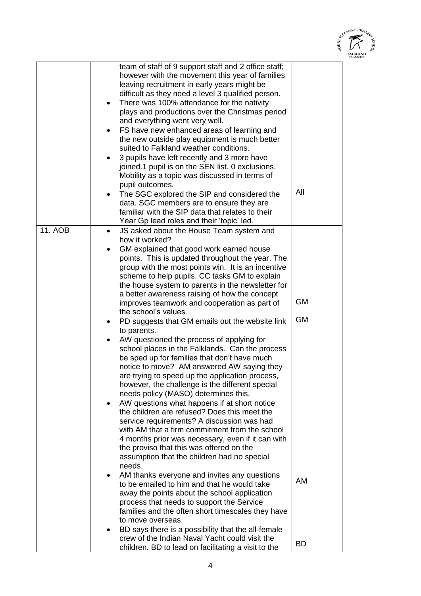

|                | team of staff of 9 support staff and 2 office staff;<br>however with the movement this year of families<br>leaving recruitment in early years might be<br>difficult as they need a level 3 qualified person.<br>There was 100% attendance for the nativity<br>$\bullet$<br>plays and productions over the Christmas period<br>and everything went very well.<br>FS have new enhanced areas of learning and<br>$\bullet$<br>the new outside play equipment is much better<br>suited to Falkland weather conditions.<br>3 pupils have left recently and 3 more have<br>joined.1 pupil is on the SEN list. 0 exclusions.<br>Mobility as a topic was discussed in terms of<br>pupil outcomes.<br>The SGC explored the SIP and considered the<br>$\bullet$<br>data. SGC members are to ensure they are<br>familiar with the SIP data that relates to their                                                                                                                                                                                                                                                                                                                                                                                                               | All                    |
|----------------|---------------------------------------------------------------------------------------------------------------------------------------------------------------------------------------------------------------------------------------------------------------------------------------------------------------------------------------------------------------------------------------------------------------------------------------------------------------------------------------------------------------------------------------------------------------------------------------------------------------------------------------------------------------------------------------------------------------------------------------------------------------------------------------------------------------------------------------------------------------------------------------------------------------------------------------------------------------------------------------------------------------------------------------------------------------------------------------------------------------------------------------------------------------------------------------------------------------------------------------------------------------------|------------------------|
|                | Year Gp lead roles and their 'topic' led.                                                                                                                                                                                                                                                                                                                                                                                                                                                                                                                                                                                                                                                                                                                                                                                                                                                                                                                                                                                                                                                                                                                                                                                                                           |                        |
| <b>11. AOB</b> | JS asked about the House Team system and<br>$\bullet$<br>how it worked?<br>GM explained that good work earned house<br>$\bullet$<br>points. This is updated throughout the year. The<br>group with the most points win. It is an incentive<br>scheme to help pupils. CC tasks GM to explain<br>the house system to parents in the newsletter for<br>a better awareness raising of how the concept<br>improves teamwork and cooperation as part of<br>the school's values.<br>PD suggests that GM emails out the website link<br>$\bullet$<br>to parents.<br>AW questioned the process of applying for<br>school places in the Falklands. Can the process<br>be sped up for families that don't have much<br>notice to move? AM answered AW saying they<br>are trying to speed up the application process,<br>however, the challenge is the different special<br>needs policy (MASO) determines this.<br>AW questions what happens if at short notice<br>٠<br>the children are refused? Does this meet the<br>service requirements? A discussion was had<br>with AM that a firm commitment from the school<br>4 months prior was necessary, even if it can with<br>the proviso that this was offered on the<br>assumption that the children had no special<br>needs. | <b>GM</b><br><b>GM</b> |
|                | AM thanks everyone and invites any questions<br>٠<br>to be emailed to him and that he would take<br>away the points about the school application<br>process that needs to support the Service<br>families and the often short timescales they have<br>to move overseas.                                                                                                                                                                                                                                                                                                                                                                                                                                                                                                                                                                                                                                                                                                                                                                                                                                                                                                                                                                                             | AM                     |
|                | BD says there is a possibility that the all-female<br>crew of the Indian Naval Yacht could visit the<br>children. BD to lead on facilitating a visit to the                                                                                                                                                                                                                                                                                                                                                                                                                                                                                                                                                                                                                                                                                                                                                                                                                                                                                                                                                                                                                                                                                                         | BD.                    |